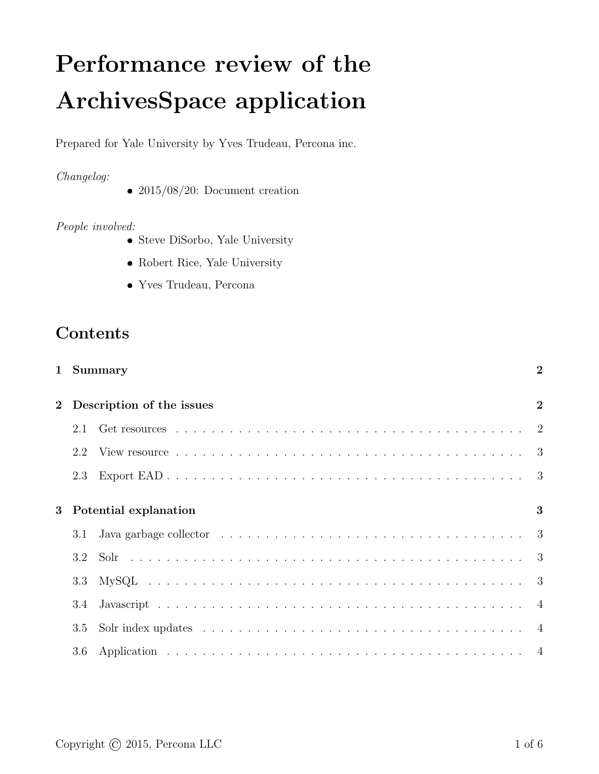# Performance review of the ArchivesSpace application

Prepared for Yale University by Yves Trudeau, Percona inc.

#### Changelog:

•  $2015/08/20$ : Document creation

#### People involved:

- Steve DiSorbo, Yale University
- Robert Rice, Yale University
- Yves Trudeau, Percona

# Contents

|   |                           | 1 Summary                                                                                             | $\overline{2}$ |  |
|---|---------------------------|-------------------------------------------------------------------------------------------------------|----------------|--|
|   | Description of the issues |                                                                                                       |                |  |
|   | 2.1                       |                                                                                                       |                |  |
|   | 2.2                       |                                                                                                       |                |  |
|   | 2.3                       |                                                                                                       |                |  |
| 3 | Potential explanation     |                                                                                                       |                |  |
|   | 3.1                       | Java garbage collector $\ldots \ldots \ldots \ldots \ldots \ldots \ldots \ldots \ldots \ldots \ldots$ |                |  |
|   | 3.2                       |                                                                                                       |                |  |
|   | 3.3                       |                                                                                                       |                |  |
|   | 3.4                       |                                                                                                       |                |  |
|   | 3.5                       |                                                                                                       |                |  |
|   | 3.6                       |                                                                                                       |                |  |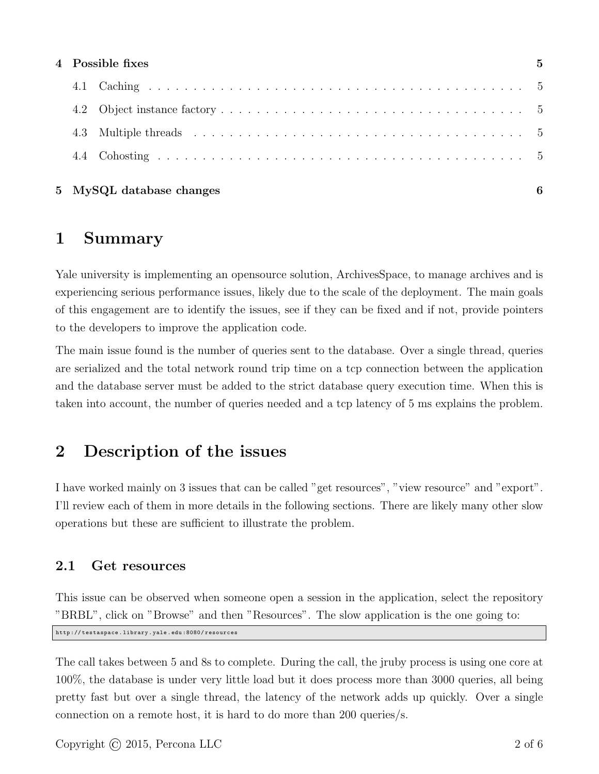| 4 Possible fixes |                          |  |
|------------------|--------------------------|--|
|                  |                          |  |
|                  |                          |  |
| 4.3              |                          |  |
|                  |                          |  |
|                  | 5 MySQL database changes |  |

## 1 Summary

Yale university is implementing an opensource solution, ArchivesSpace, to manage archives and is experiencing serious performance issues, likely due to the scale of the deployment. The main goals of this engagement are to identify the issues, see if they can be fixed and if not, provide pointers to the developers to improve the application code.

The main issue found is the number of queries sent to the database. Over a single thread, queries are serialized and the total network round trip time on a tcp connection between the application and the database server must be added to the strict database query execution time. When this is taken into account, the number of queries needed and a tcp latency of 5 ms explains the problem.

# 2 Description of the issues

I have worked mainly on 3 issues that can be called "get resources", "view resource" and "export". I'll review each of them in more details in the following sections. There are likely many other slow operations but these are sufficient to illustrate the problem.

## 2.1 Get resources

This issue can be observed when someone open a session in the application, select the repository "BRBL", click on "Browse" and then "Resources". The slow application is the one going to: http :// testaspace . library . yale . edu :8080/ resources

The call takes between 5 and 8s to complete. During the call, the jruby process is using one core at 100%, the database is under very little load but it does process more than 3000 queries, all being pretty fast but over a single thread, the latency of the network adds up quickly. Over a single connection on a remote host, it is hard to do more than 200 queries/s.

Copyright  $\odot$  2015, Percona LLC 2 of 6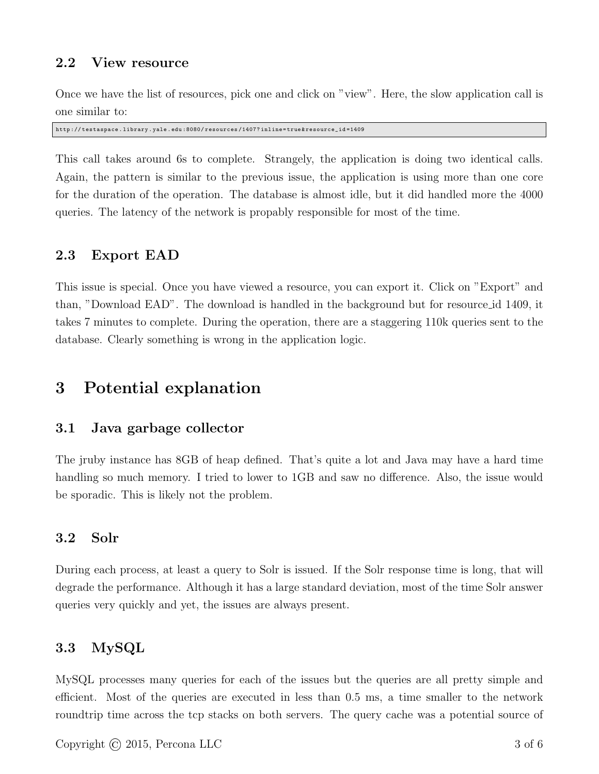## 2.2 View resource

Once we have the list of resources, pick one and click on "view". Here, the slow application call is one similar to:

http :// testaspace . library . yale . edu :8080/ resources /1407? inline = true & resource\_id =1409

This call takes around 6s to complete. Strangely, the application is doing two identical calls. Again, the pattern is similar to the previous issue, the application is using more than one core for the duration of the operation. The database is almost idle, but it did handled more the 4000 queries. The latency of the network is propably responsible for most of the time.

#### 2.3 Export EAD

This issue is special. Once you have viewed a resource, you can export it. Click on "Export" and than, "Download EAD". The download is handled in the background but for resource id 1409, it takes 7 minutes to complete. During the operation, there are a staggering 110k queries sent to the database. Clearly something is wrong in the application logic.

## 3 Potential explanation

#### 3.1 Java garbage collector

The jruby instance has 8GB of heap defined. That's quite a lot and Java may have a hard time handling so much memory. I tried to lower to 1GB and saw no difference. Also, the issue would be sporadic. This is likely not the problem.

#### 3.2 Solr

During each process, at least a query to Solr is issued. If the Solr response time is long, that will degrade the performance. Although it has a large standard deviation, most of the time Solr answer queries very quickly and yet, the issues are always present.

#### 3.3 MySQL

MySQL processes many queries for each of the issues but the queries are all pretty simple and efficient. Most of the queries are executed in less than 0.5 ms, a time smaller to the network roundtrip time across the tcp stacks on both servers. The query cache was a potential source of

Copyright  $\odot$  2015, Percona LLC 3 of 6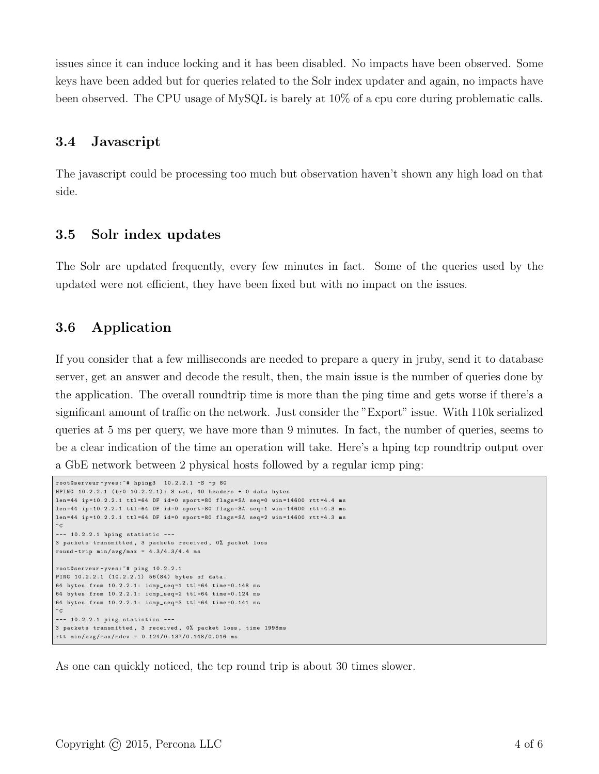issues since it can induce locking and it has been disabled. No impacts have been observed. Some keys have been added but for queries related to the Solr index updater and again, no impacts have been observed. The CPU usage of MySQL is barely at 10% of a cpu core during problematic calls.

#### 3.4 Javascript

The javascript could be processing too much but observation haven't shown any high load on that side.

#### 3.5 Solr index updates

The Solr are updated frequently, every few minutes in fact. Some of the queries used by the updated were not efficient, they have been fixed but with no impact on the issues.

## 3.6 Application

If you consider that a few milliseconds are needed to prepare a query in jruby, send it to database server, get an answer and decode the result, then, the main issue is the number of queries done by the application. The overall roundtrip time is more than the ping time and gets worse if there's a significant amount of traffic on the network. Just consider the "Export" issue. With 110k serialized queries at 5 ms per query, we have more than 9 minutes. In fact, the number of queries, seems to be a clear indication of the time an operation will take. Here's a hping tcp roundtrip output over a GbE network between 2 physical hosts followed by a regular icmp ping:

```
root@serveur - yves :~# hping3 10.2.2.1 -S -p 80
HPING 10.2.2.1 (br0 10.2.2.1): S set, 40 headers + 0 data bytes
len=44 ip=10.2.2.1 ttl=64 DF id=0 sport=80 flags=SA seq=0 win=14600 rtt=4.4 ms
len=44 ip=10.2.2.1 ttl=64 DF id=0 sport=80 flags=SA seq=1 win=14600 rtt=4.3 ms
len=44 ip=10.2.2.1 ttl=64 DF id=0 sport=80 flags=SA seq=2 win=14600 rtt=4.3 ms
\hat{C}--- 10.2.2.1 hping statistic ---
3 packets transmitted , 3 packets received , 0% packet loss
round-trip min/avg/max = 4.3/4.3/4.4 msroot@serveur - yves :~# ping 10.2.2.1
PING 10.2.2.1 (10.2.2.1) 56(84) bytes of data .
64 bytes from 10.2.2.1: icmp_seq =1 ttl =64 time =0.148 ms
64 bytes from 10.2.2.1: icmp_seq =2 ttl =64 time =0.124 ms
64 bytes from 10.2.2.1: icmp_seq =3 ttl =64 time =0.141 ms
\hat{C}--- 10.2.2.1 ping statistics ---
3 packets transmitted , 3 received , 0% packet loss , time 1998 ms
rtt min / avg / max / mdev = 0.124/0.137/0.148/0.016 ms
```
As one can quickly noticed, the tcp round trip is about 30 times slower.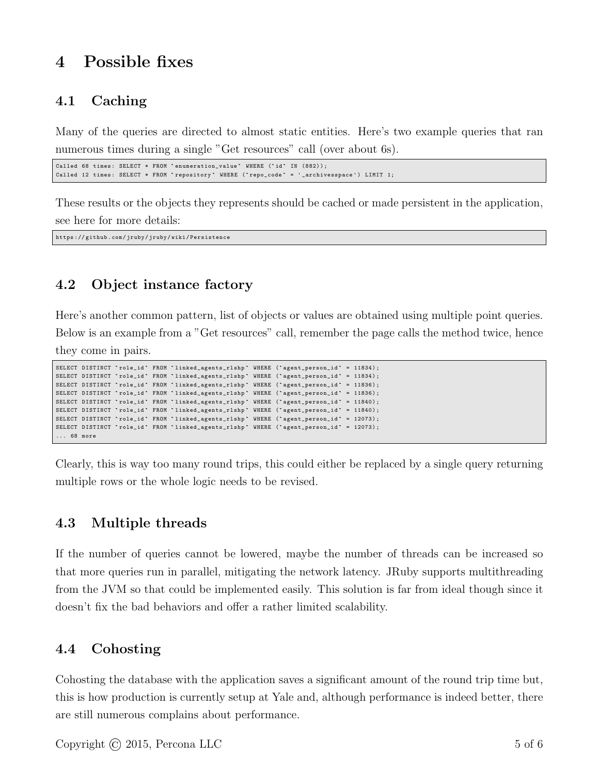# 4 Possible fixes

## 4.1 Caching

Many of the queries are directed to almost static entities. Here's two example queries that ran numerous times during a single "Get resources" call (over about 6s).

```
Called 68 times: SELECT * FROM 'enumeration_value' WHERE ('id' IN (882));
Called 12 times: SELECT * FROM 'repository ` WHERE ('repo_code' = '_archivesspace') LIMIT 1;
```
These results or the objects they represents should be cached or made persistent in the application, see here for more details:

https :// github . com / jruby / jruby / wiki / Persistence

## 4.2 Object instance factory

Here's another common pattern, list of objects or values are obtained using multiple point queries. Below is an example from a "Get resources" call, remember the page calls the method twice, hence they come in pairs.

```
SELECT DISTINCT `role_id` FROM `linked_agents_rlshp` WHERE (`agent_person_id` = 11834);
SELECT DISTINCT 'role_id' FROM 'linked_agents_rlshp' WHERE ('agent_person_id' = 11834);
SELECT DISTINCT 'role_id' FROM 'linked_agents_rlshp' WHERE ('agent_person_id' = 11836);
SELECT DISTINCT `role_id ` FROM `linked_agents_rlshp ` WHERE (` agent_person_id ` = 11836) ;
SELECT DISTINCT `role_id' FROM `linked_agents_rlshp' WHERE ('agent_person_id' = 11840);
SELECT DISTINCT 'role_id' FROM 'linked_agents_rlshp' WHERE ('agent_person_id' = 11840);
SELECT DISTINCT `role_id ` FROM `linked_agents_rlshp ` WHERE (` agent_person_id ` = 12073) ;
SELECT DISTINCT `role_id ` FROM `linked_agents_rlshp ` WHERE (` agent_person_id ` = 12073) ;
... 68 more
```
Clearly, this is way too many round trips, this could either be replaced by a single query returning multiple rows or the whole logic needs to be revised.

## 4.3 Multiple threads

If the number of queries cannot be lowered, maybe the number of threads can be increased so that more queries run in parallel, mitigating the network latency. JRuby supports multithreading from the JVM so that could be implemented easily. This solution is far from ideal though since it doesn't fix the bad behaviors and offer a rather limited scalability.

#### 4.4 Cohosting

Cohosting the database with the application saves a significant amount of the round trip time but, this is how production is currently setup at Yale and, although performance is indeed better, there are still numerous complains about performance.